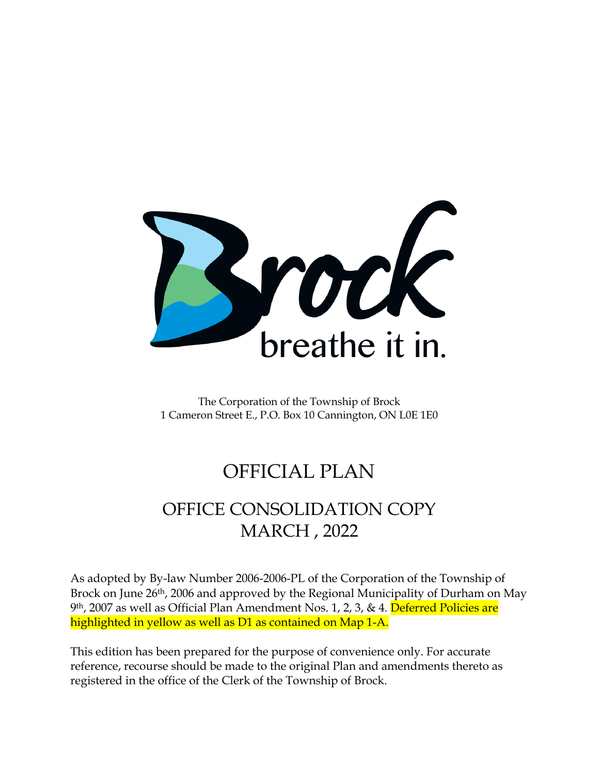

The Corporation of the Township of Brock 1 Cameron Street E., P.O. Box 10 Cannington, ON L0E 1E0

# OFFICIAL PLAN

# OFFICE CONSOLIDATION COPY MARCH , 2022

As adopted by By-law Number 2006-2006-PL of the Corporation of the Township of Brock on June 26<sup>th</sup>, 2006 and approved by the Regional Municipality of Durham on May 9th, 2007 as well as Official Plan Amendment Nos. 1, 2, 3, & 4. Deferred Policies are highlighted in yellow as well as D1 as contained on Map 1-A.

This edition has been prepared for the purpose of convenience only. For accurate reference, recourse should be made to the original Plan and amendments thereto as registered in the office of the Clerk of the Township of Brock.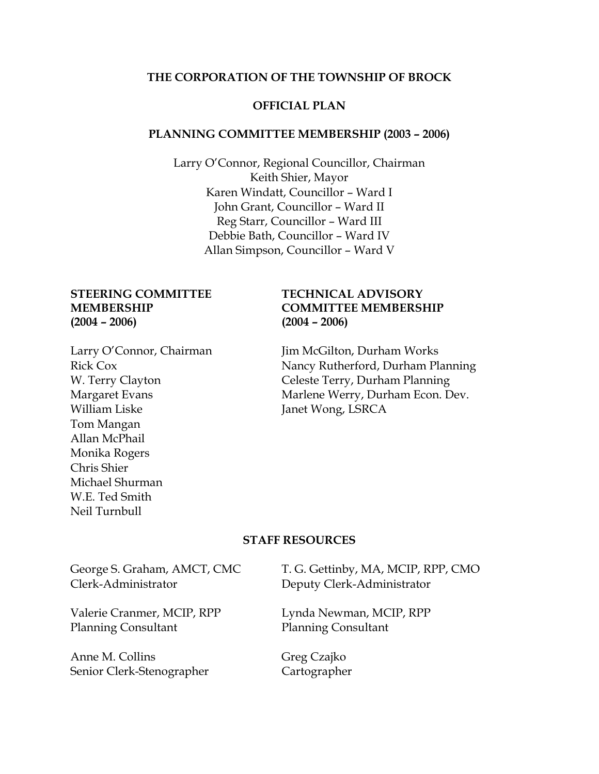#### **THE CORPORATION OF THE TOWNSHIP OF BROCK**

#### **OFFICIAL PLAN**

#### **PLANNING COMMITTEE MEMBERSHIP (2003 – 2006)**

Larry O'Connor, Regional Councillor, Chairman Keith Shier, Mayor Karen Windatt, Councillor – Ward I John Grant, Councillor – Ward II Reg Starr, Councillor – Ward III Debbie Bath, Councillor – Ward IV Allan Simpson, Councillor – Ward V

# **(2004 – 2006) (2004 – 2006)**

William Liske Janet Wong, LSRCA Tom Mangan Allan McPhail Monika Rogers Chris Shier Michael Shurman W.E. Ted Smith Neil Turnbull

# **STEERING COMMITTEE TECHNICAL ADVISORY MEMBERSHIP COMMITTEE MEMBERSHIP**

Larry O'Connor, Chairman Jim McGilton, Durham Works Rick Cox Nancy Rutherford, Durham Planning W. Terry Clayton Celeste Terry, Durham Planning Margaret Evans Marlene Werry, Durham Econ. Dev.

#### **STAFF RESOURCES**

Clerk-Administrator Deputy Clerk-Administrator

Valerie Cranmer, MCIP, RPP Lynda Newman, MCIP, RPP Planning Consultant Planning Consultant

Anne M. Collins Greg Czajko Senior Clerk-Stenographer Cartographer

George S. Graham, AMCT, CMC T. G. Gettinby, MA, MCIP, RPP, CMO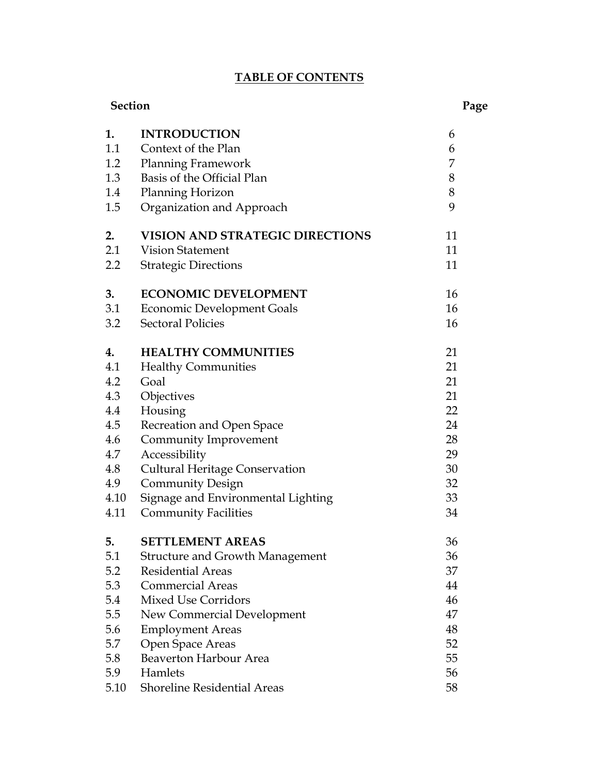# **TABLE OF CONTENTS**

| <b>Section</b> |                                        | Page |  |
|----------------|----------------------------------------|------|--|
| 1.             | <b>INTRODUCTION</b>                    | 6    |  |
| 1.1            | Context of the Plan                    | 6    |  |
| 1.2            | <b>Planning Framework</b>              | 7    |  |
| 1.3            | Basis of the Official Plan             | 8    |  |
| 1.4            | Planning Horizon                       | 8    |  |
| 1.5            | Organization and Approach              | 9    |  |
| 2.             | <b>VISION AND STRATEGIC DIRECTIONS</b> | 11   |  |
| 2.1            | <b>Vision Statement</b>                | 11   |  |
| 2.2            | <b>Strategic Directions</b>            | 11   |  |
| 3.             | <b>ECONOMIC DEVELOPMENT</b>            | 16   |  |
| 3.1            | <b>Economic Development Goals</b>      | 16   |  |
| 3.2            | <b>Sectoral Policies</b>               | 16   |  |
| 4.             | <b>HEALTHY COMMUNITIES</b>             | 21   |  |
| 4.1            | <b>Healthy Communities</b>             | 21   |  |
| 4.2            | Goal                                   | 21   |  |
| 4.3            | Objectives                             | 21   |  |
| 4.4            | Housing                                | 22   |  |
| 4.5            | Recreation and Open Space              | 24   |  |
| 4.6            | Community Improvement                  | 28   |  |
| 4.7            | Accessibility                          | 29   |  |
| 4.8            | <b>Cultural Heritage Conservation</b>  | 30   |  |
| 4.9            | <b>Community Design</b>                | 32   |  |
| 4.10           | Signage and Environmental Lighting     | 33   |  |
| 4.11           | <b>Community Facilities</b>            | 34   |  |
| 5.             | <b>SETTLEMENT AREAS</b>                | 36   |  |
| 5.1            | <b>Structure and Growth Management</b> | 36   |  |
| 5.2            | <b>Residential Areas</b>               | 37   |  |
| 5.3            | <b>Commercial Areas</b>                | 44   |  |
| 5.4            | <b>Mixed Use Corridors</b>             | 46   |  |
| 5.5            | New Commercial Development             | 47   |  |
| 5.6            | <b>Employment Areas</b>                | 48   |  |
| 5.7            | Open Space Areas                       | 52   |  |
| 5.8            | Beaverton Harbour Area                 | 55   |  |
| 5.9            | Hamlets                                | 56   |  |
| 5.10           | <b>Shoreline Residential Areas</b>     | 58   |  |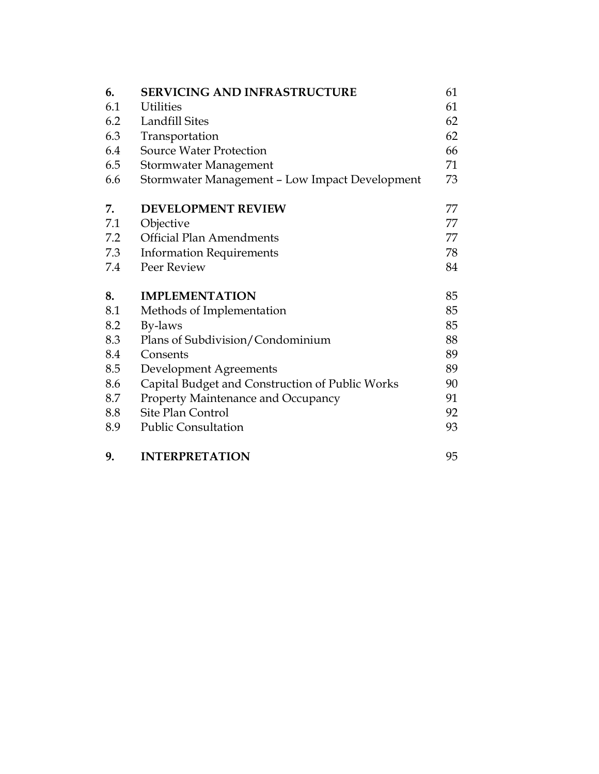| 6.  | <b>SERVICING AND INFRASTRUCTURE</b>             | 61 |
|-----|-------------------------------------------------|----|
| 6.1 | <b>Utilities</b>                                | 61 |
| 6.2 | Landfill Sites                                  | 62 |
| 6.3 | Transportation                                  | 62 |
| 6.4 | <b>Source Water Protection</b>                  | 66 |
| 6.5 | Stormwater Management                           | 71 |
| 6.6 | Stormwater Management - Low Impact Development  | 73 |
| 7.  | <b>DEVELOPMENT REVIEW</b>                       | 77 |
| 7.1 | Objective                                       | 77 |
| 7.2 | <b>Official Plan Amendments</b>                 | 77 |
| 7.3 | <b>Information Requirements</b>                 | 78 |
| 7.4 | Peer Review                                     | 84 |
| 8.  | <b>IMPLEMENTATION</b>                           | 85 |
| 8.1 | Methods of Implementation                       | 85 |
| 8.2 | By-laws                                         | 85 |
| 8.3 | Plans of Subdivision/Condominium                | 88 |
| 8.4 | Consents                                        | 89 |
| 8.5 | Development Agreements                          | 89 |
| 8.6 | Capital Budget and Construction of Public Works | 90 |
| 8.7 | Property Maintenance and Occupancy              | 91 |
| 8.8 | Site Plan Control                               | 92 |
| 8.9 | <b>Public Consultation</b>                      | 93 |

**9. INTERPRETATION** 95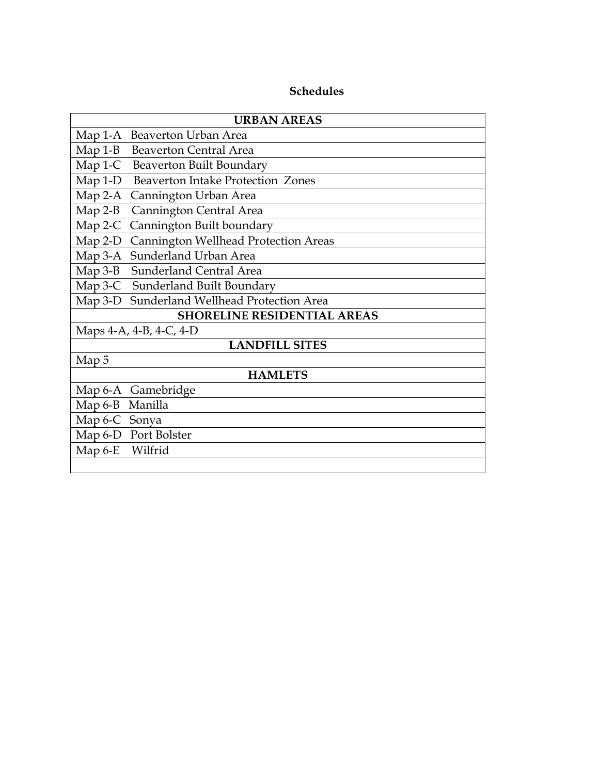# **Schedules**

| <b>URBAN AREAS</b>                                |  |  |  |
|---------------------------------------------------|--|--|--|
| Map 1-A Beaverton Urban Area                      |  |  |  |
| Map 1-B Beaverton Central Area                    |  |  |  |
| Map 1-C Beaverton Built Boundary                  |  |  |  |
| Map 1-D Beaverton Intake Protection Zones         |  |  |  |
| $Map 2-A$<br>Cannington Urban Area                |  |  |  |
| $Map 2-B$<br>Cannington Central Area              |  |  |  |
| Cannington Built boundary<br>$Map 2-C$            |  |  |  |
| Cannington Wellhead Protection Areas<br>$Map 2-D$ |  |  |  |
| Sunderland Urban Area<br>Map 3-A                  |  |  |  |
| Sunderland Central Area<br>$Map 3-B$              |  |  |  |
| Map 3-C Sunderland Built Boundary                 |  |  |  |
| Sunderland Wellhead Protection Area<br>$Map 3-D$  |  |  |  |
| <b>SHORELINE RESIDENTIAL AREAS</b>                |  |  |  |
| Maps 4-A, 4-B, 4-C, 4-D                           |  |  |  |
| <b>LANDFILL SITES</b>                             |  |  |  |
| Map 5                                             |  |  |  |
| <b>HAMLETS</b>                                    |  |  |  |
| Gamebridge<br>Map 6-A                             |  |  |  |
| Manilla<br>Map $6-B$                              |  |  |  |
| Map 6-C Sonya                                     |  |  |  |
| Map 6-D Port Bolster                              |  |  |  |
| Map 6-E Wilfrid                                   |  |  |  |
|                                                   |  |  |  |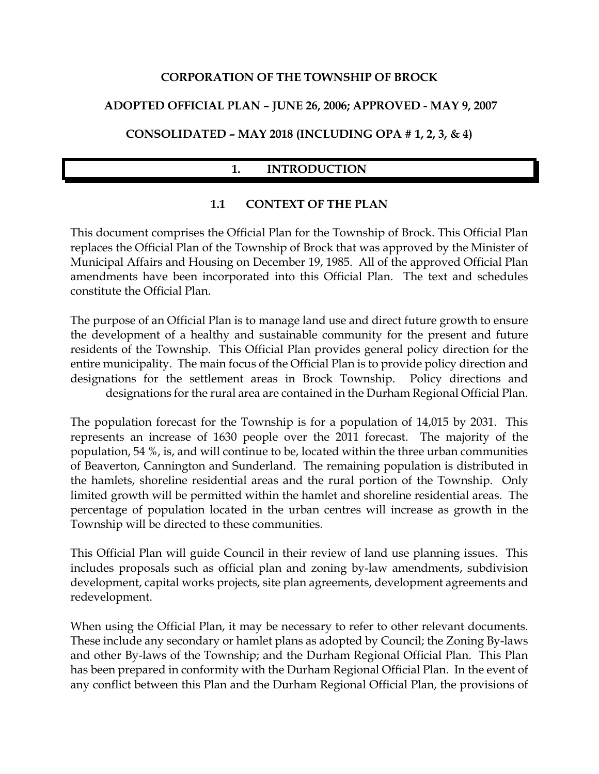#### **CORPORATION OF THE TOWNSHIP OF BROCK**

# **ADOPTED OFFICIAL PLAN – JUNE 26, 2006; APPROVED - MAY 9, 2007**

# **CONSOLIDATED – MAY 2018 (INCLUDING OPA # 1, 2, 3, & 4)**

# **1. INTRODUCTION**

# **1.1 CONTEXT OF THE PLAN**

This document comprises the Official Plan for the Township of Brock. This Official Plan replaces the Official Plan of the Township of Brock that was approved by the Minister of Municipal Affairs and Housing on December 19, 1985. All of the approved Official Plan amendments have been incorporated into this Official Plan. The text and schedules constitute the Official Plan.

The purpose of an Official Plan is to manage land use and direct future growth to ensure the development of a healthy and sustainable community for the present and future residents of the Township. This Official Plan provides general policy direction for the entire municipality. The main focus of the Official Plan is to provide policy direction and designations for the settlement areas in Brock Township. Policy directions and designations for the rural area are contained in the Durham Regional Official Plan.

The population forecast for the Township is for a population of 14,015 by 2031. This represents an increase of 1630 people over the 2011 forecast. The majority of the population, 54 %, is, and will continue to be, located within the three urban communities of Beaverton, Cannington and Sunderland. The remaining population is distributed in the hamlets, shoreline residential areas and the rural portion of the Township. Only limited growth will be permitted within the hamlet and shoreline residential areas. The percentage of population located in the urban centres will increase as growth in the Township will be directed to these communities.

This Official Plan will guide Council in their review of land use planning issues. This includes proposals such as official plan and zoning by-law amendments, subdivision development, capital works projects, site plan agreements, development agreements and redevelopment.

When using the Official Plan, it may be necessary to refer to other relevant documents. These include any secondary or hamlet plans as adopted by Council; the Zoning By-laws and other By-laws of the Township; and the Durham Regional Official Plan. This Plan has been prepared in conformity with the Durham Regional Official Plan. In the event of any conflict between this Plan and the Durham Regional Official Plan, the provisions of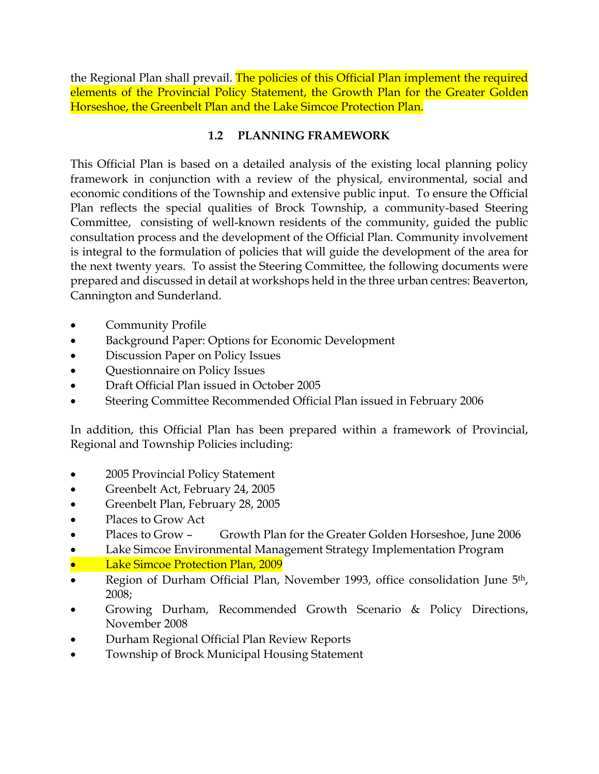the Regional Plan shall prevail. The policies of this Official Plan implement the required elements of the Provincial Policy Statement, the Growth Plan for the Greater Golden Horseshoe, the Greenbelt Plan and the Lake Simcoe Protection Plan.

# **1.2 PLANNING FRAMEWORK**

This Official Plan is based on a detailed analysis of the existing local planning policy framework in conjunction with a review of the physical, environmental, social and economic conditions of the Township and extensive public input. To ensure the Official Plan reflects the special qualities of Brock Township, a community-based Steering Committee, consisting of well-known residents of the community, guided the public consultation process and the development of the Official Plan. Community involvement is integral to the formulation of policies that will guide the development of the area for the next twenty years. To assist the Steering Committee, the following documents were prepared and discussed in detail at workshops held in the three urban centres: Beaverton, Cannington and Sunderland.

- Community Profile
- Background Paper: Options for Economic Development
- Discussion Paper on Policy Issues
- Questionnaire on Policy Issues
- Draft Official Plan issued in October 2005
- Steering Committee Recommended Official Plan issued in February 2006

In addition, this Official Plan has been prepared within a framework of Provincial, Regional and Township Policies including:

- 2005 Provincial Policy Statement
- Greenbelt Act, February 24, 2005
- Greenbelt Plan, February 28, 2005
- Places to Grow Act
- Places to Grow Growth Plan for the Greater Golden Horseshoe, June 2006
- Lake Simcoe Environmental Management Strategy Implementation Program
- Lake Simcoe Protection Plan, 2009
- Region of Durham Official Plan, November 1993, office consolidation June 5<sup>th</sup>, 2008;
- Growing Durham, Recommended Growth Scenario & Policy Directions, November 2008
- Durham Regional Official Plan Review Reports
- Township of Brock Municipal Housing Statement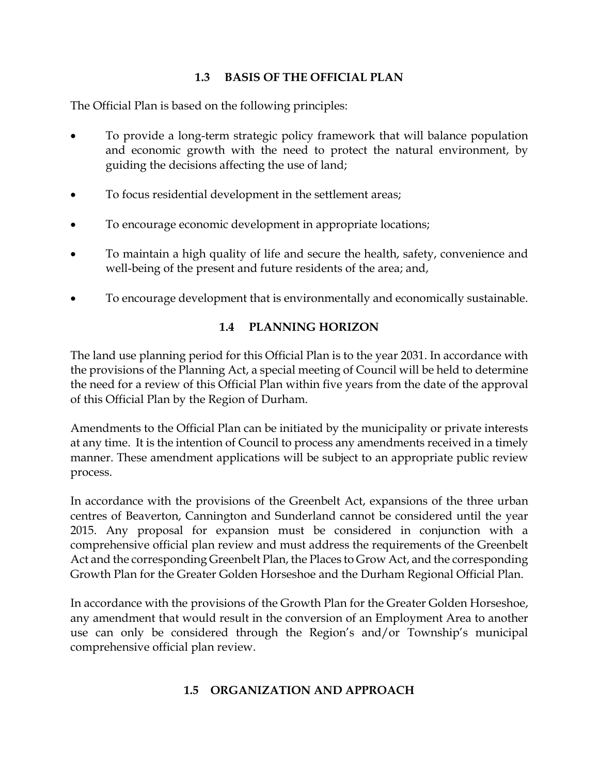# **1.3 BASIS OF THE OFFICIAL PLAN**

The Official Plan is based on the following principles:

- To provide a long-term strategic policy framework that will balance population and economic growth with the need to protect the natural environment, by guiding the decisions affecting the use of land;
- To focus residential development in the settlement areas;
- To encourage economic development in appropriate locations;
- To maintain a high quality of life and secure the health, safety, convenience and well-being of the present and future residents of the area; and,
- To encourage development that is environmentally and economically sustainable.

# **1.4 PLANNING HORIZON**

The land use planning period for this Official Plan is to the year 2031. In accordance with the provisions of the Planning Act, a special meeting of Council will be held to determine the need for a review of this Official Plan within five years from the date of the approval of this Official Plan by the Region of Durham.

Amendments to the Official Plan can be initiated by the municipality or private interests at any time. It is the intention of Council to process any amendments received in a timely manner. These amendment applications will be subject to an appropriate public review process.

In accordance with the provisions of the Greenbelt Act, expansions of the three urban centres of Beaverton, Cannington and Sunderland cannot be considered until the year 2015. Any proposal for expansion must be considered in conjunction with a comprehensive official plan review and must address the requirements of the Greenbelt Act and the corresponding Greenbelt Plan, the Places to Grow Act, and the corresponding Growth Plan for the Greater Golden Horseshoe and the Durham Regional Official Plan.

In accordance with the provisions of the Growth Plan for the Greater Golden Horseshoe, any amendment that would result in the conversion of an Employment Area to another use can only be considered through the Region's and/or Township's municipal comprehensive official plan review.

#### **1.5 ORGANIZATION AND APPROACH**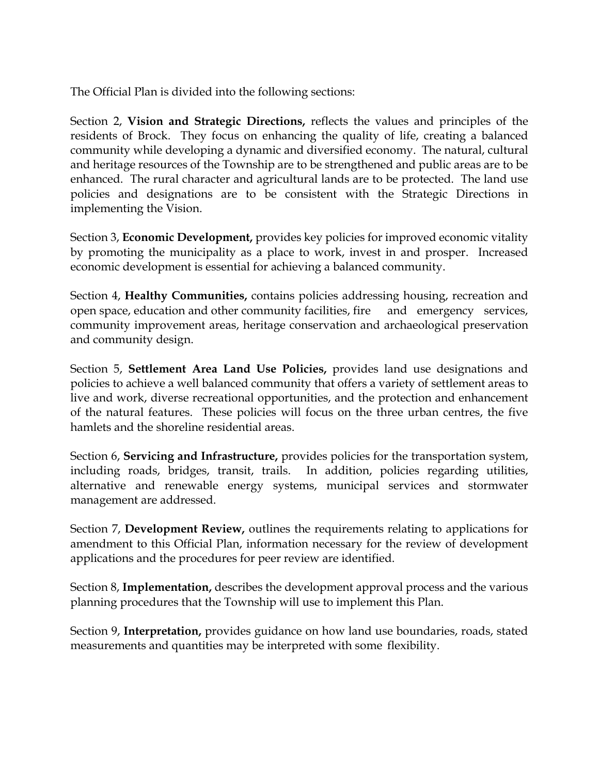The Official Plan is divided into the following sections:

Section 2, **Vision and Strategic Directions,** reflects the values and principles of the residents of Brock. They focus on enhancing the quality of life, creating a balanced community while developing a dynamic and diversified economy. The natural, cultural and heritage resources of the Township are to be strengthened and public areas are to be enhanced. The rural character and agricultural lands are to be protected. The land use policies and designations are to be consistent with the Strategic Directions in implementing the Vision.

Section 3, **Economic Development,** provides key policies for improved economic vitality by promoting the municipality as a place to work, invest in and prosper. Increased economic development is essential for achieving a balanced community.

Section 4, **Healthy Communities,** contains policies addressing housing, recreation and open space, education and other community facilities, fire and emergency services, community improvement areas, heritage conservation and archaeological preservation and community design.

Section 5, **Settlement Area Land Use Policies,** provides land use designations and policies to achieve a well balanced community that offers a variety of settlement areas to live and work, diverse recreational opportunities, and the protection and enhancement of the natural features. These policies will focus on the three urban centres, the five hamlets and the shoreline residential areas.

Section 6, **Servicing and Infrastructure,** provides policies for the transportation system, including roads, bridges, transit, trails. In addition, policies regarding utilities, alternative and renewable energy systems, municipal services and stormwater management are addressed.

Section 7, **Development Review,** outlines the requirements relating to applications for amendment to this Official Plan, information necessary for the review of development applications and the procedures for peer review are identified.

Section 8, **Implementation,** describes the development approval process and the various planning procedures that the Township will use to implement this Plan.

Section 9, **Interpretation,** provides guidance on how land use boundaries, roads, stated measurements and quantities may be interpreted with some flexibility.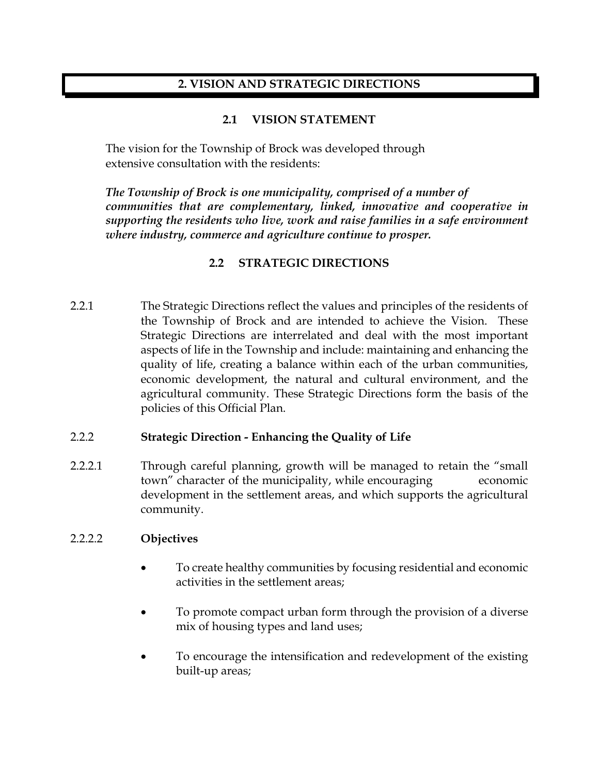#### **2. VISION AND STRATEGIC DIRECTIONS**

#### **2.1 VISION STATEMENT**

The vision for the Township of Brock was developed through extensive consultation with the residents:

*The Township of Brock is one municipality, comprised of a number of communities that are complementary, linked, innovative and cooperative in supporting the residents who live, work and raise families in a safe environment where industry, commerce and agriculture continue to prosper.*

# **2.2 STRATEGIC DIRECTIONS**

2.2.1 The Strategic Directions reflect the values and principles of the residents of the Township of Brock and are intended to achieve the Vision. These Strategic Directions are interrelated and deal with the most important aspects of life in the Township and include: maintaining and enhancing the quality of life, creating a balance within each of the urban communities, economic development, the natural and cultural environment, and the agricultural community. These Strategic Directions form the basis of the policies of this Official Plan.

#### 2.2.2 **Strategic Direction - Enhancing the Quality of Life**

2.2.2.1 Through careful planning, growth will be managed to retain the "small town" character of the municipality, while encouraging economic development in the settlement areas, and which supports the agricultural community.

#### 2.2.2.2 **Objectives**

- To create healthy communities by focusing residential and economic activities in the settlement areas;
- To promote compact urban form through the provision of a diverse mix of housing types and land uses;
- To encourage the intensification and redevelopment of the existing built-up areas;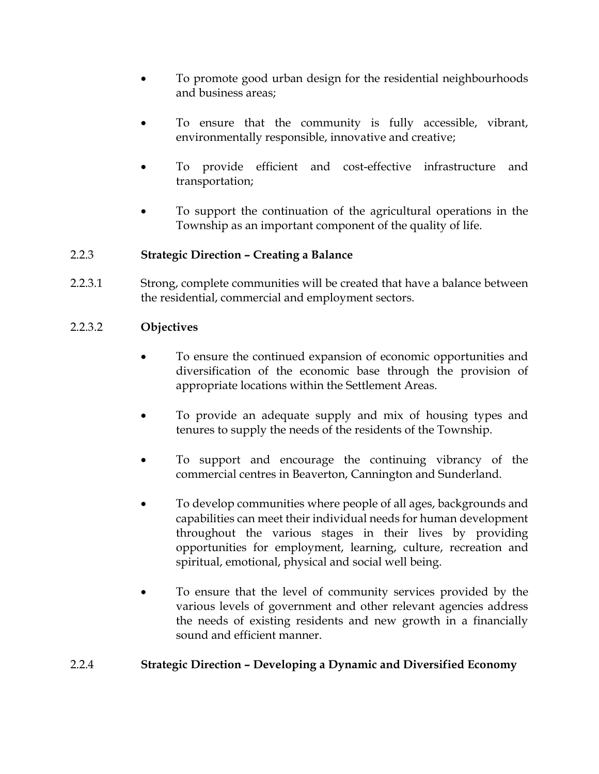- To promote good urban design for the residential neighbourhoods and business areas;
- To ensure that the community is fully accessible, vibrant, environmentally responsible, innovative and creative;
- To provide efficient and cost-effective infrastructure and transportation;
- To support the continuation of the agricultural operations in the Township as an important component of the quality of life.

#### 2.2.3 **Strategic Direction – Creating a Balance**

2.2.3.1 Strong, complete communities will be created that have a balance between the residential, commercial and employment sectors.

#### 2.2.3.2 **Objectives**

- To ensure the continued expansion of economic opportunities and diversification of the economic base through the provision of appropriate locations within the Settlement Areas.
- To provide an adequate supply and mix of housing types and tenures to supply the needs of the residents of the Township.
- To support and encourage the continuing vibrancy of the commercial centres in Beaverton, Cannington and Sunderland.
- To develop communities where people of all ages, backgrounds and capabilities can meet their individual needs for human development throughout the various stages in their lives by providing opportunities for employment, learning, culture, recreation and spiritual, emotional, physical and social well being.
- To ensure that the level of community services provided by the various levels of government and other relevant agencies address the needs of existing residents and new growth in a financially sound and efficient manner.

#### 2.2.4 **Strategic Direction – Developing a Dynamic and Diversified Economy**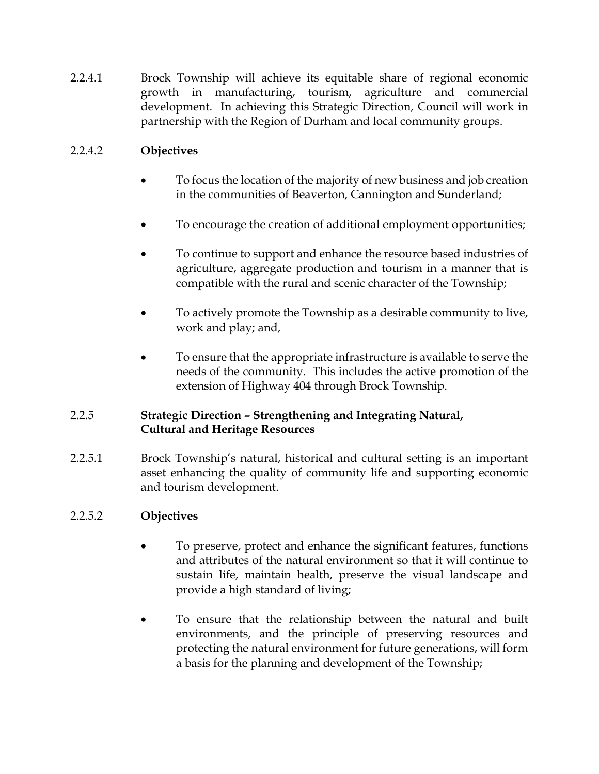2.2.4.1 Brock Township will achieve its equitable share of regional economic growth in manufacturing, tourism, agriculture and commercial development. In achieving this Strategic Direction, Council will work in partnership with the Region of Durham and local community groups.

# 2.2.4.2 **Objectives**

- To focus the location of the majority of new business and job creation in the communities of Beaverton, Cannington and Sunderland;
- To encourage the creation of additional employment opportunities;
- To continue to support and enhance the resource based industries of agriculture, aggregate production and tourism in a manner that is compatible with the rural and scenic character of the Township;
- To actively promote the Township as a desirable community to live, work and play; and,
- To ensure that the appropriate infrastructure is available to serve the needs of the community. This includes the active promotion of the extension of Highway 404 through Brock Township.

# 2.2.5 **Strategic Direction – Strengthening and Integrating Natural, Cultural and Heritage Resources**

2.2.5.1 Brock Township's natural, historical and cultural setting is an important asset enhancing the quality of community life and supporting economic and tourism development.

# 2.2.5.2 **Objectives**

- To preserve, protect and enhance the significant features, functions and attributes of the natural environment so that it will continue to sustain life, maintain health, preserve the visual landscape and provide a high standard of living;
- To ensure that the relationship between the natural and built environments, and the principle of preserving resources and protecting the natural environment for future generations, will form a basis for the planning and development of the Township;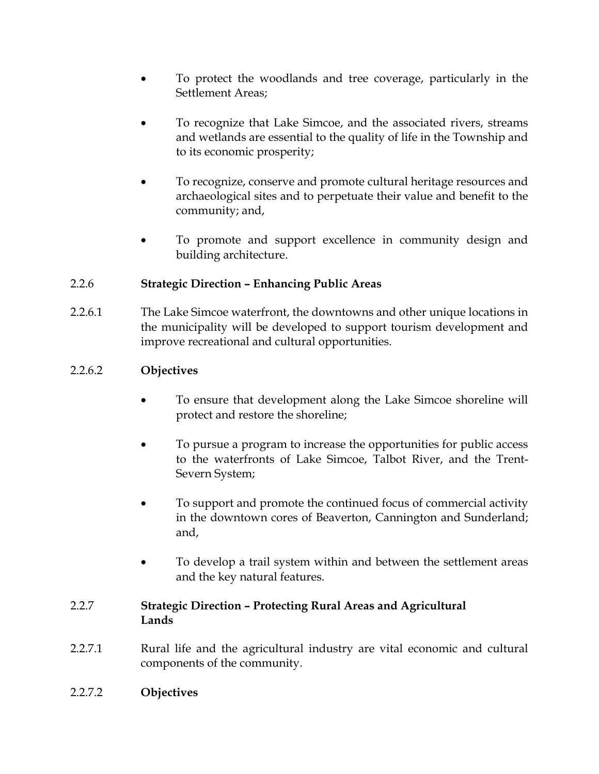- To protect the woodlands and tree coverage, particularly in the Settlement Areas;
- To recognize that Lake Simcoe, and the associated rivers, streams and wetlands are essential to the quality of life in the Township and to its economic prosperity;
- To recognize, conserve and promote cultural heritage resources and archaeological sites and to perpetuate their value and benefit to the community; and,
- To promote and support excellence in community design and building architecture.

# 2.2.6 **Strategic Direction – Enhancing Public Areas**

2.2.6.1 The Lake Simcoe waterfront, the downtowns and other unique locations in the municipality will be developed to support tourism development and improve recreational and cultural opportunities.

# 2.2.6.2 **Objectives**

- To ensure that development along the Lake Simcoe shoreline will protect and restore the shoreline;
- To pursue a program to increase the opportunities for public access to the waterfronts of Lake Simcoe, Talbot River, and the Trent-Severn System;
- To support and promote the continued focus of commercial activity in the downtown cores of Beaverton, Cannington and Sunderland; and,
- To develop a trail system within and between the settlement areas and the key natural features.

#### 2.2.7 **Strategic Direction – Protecting Rural Areas and Agricultural Lands**

- 2.2.7.1 Rural life and the agricultural industry are vital economic and cultural components of the community.
- 2.2.7.2 **Objectives**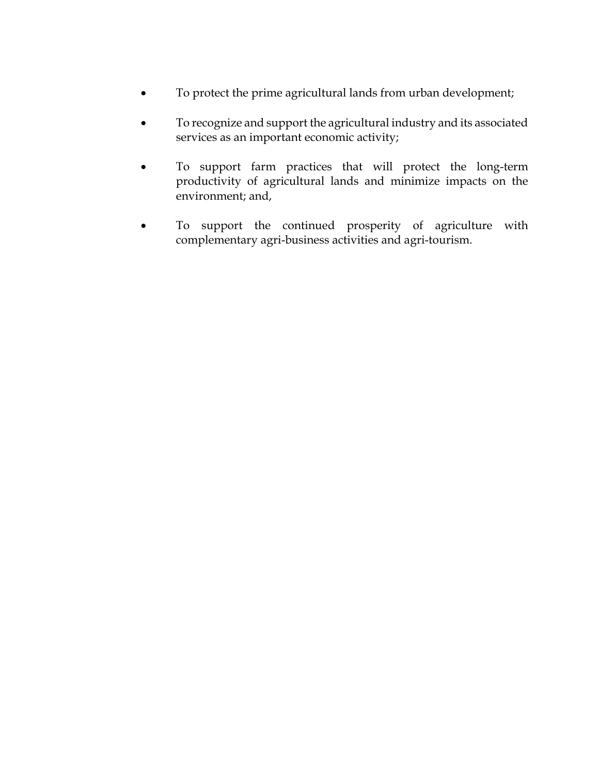- To protect the prime agricultural lands from urban development;
- To recognize and support the agricultural industry and its associated services as an important economic activity;
- To support farm practices that will protect the long-term productivity of agricultural lands and minimize impacts on the environment; and,
- To support the continued prosperity of agriculture with complementary agri-business activities and agri-tourism.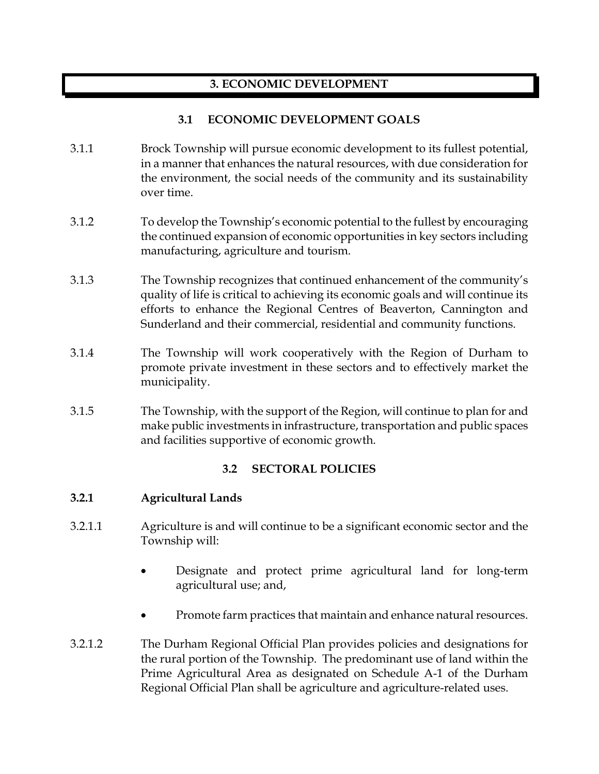# **3. ECONOMIC DEVELOPMENT**

# **3.1 ECONOMIC DEVELOPMENT GOALS**

- 3.1.1 Brock Township will pursue economic development to its fullest potential, in a manner that enhances the natural resources, with due consideration for the environment, the social needs of the community and its sustainability over time.
- 3.1.2 To develop the Township's economic potential to the fullest by encouraging the continued expansion of economic opportunities in key sectors including manufacturing, agriculture and tourism.
- 3.1.3 The Township recognizes that continued enhancement of the community's quality of life is critical to achieving its economic goals and will continue its efforts to enhance the Regional Centres of Beaverton, Cannington and Sunderland and their commercial, residential and community functions.
- 3.1.4 The Township will work cooperatively with the Region of Durham to promote private investment in these sectors and to effectively market the municipality.
- 3.1.5 The Township, with the support of the Region, will continue to plan for and make public investments in infrastructure, transportation and public spaces and facilities supportive of economic growth.

# **3.2 SECTORAL POLICIES**

#### **3.2.1 Agricultural Lands**

- 3.2.1.1 Agriculture is and will continue to be a significant economic sector and the Township will:
	- Designate and protect prime agricultural land for long-term agricultural use; and,
	- Promote farm practices that maintain and enhance natural resources.
- 3.2.1.2 The Durham Regional Official Plan provides policies and designations for the rural portion of the Township. The predominant use of land within the Prime Agricultural Area as designated on Schedule A-1 of the Durham Regional Official Plan shall be agriculture and agriculture-related uses.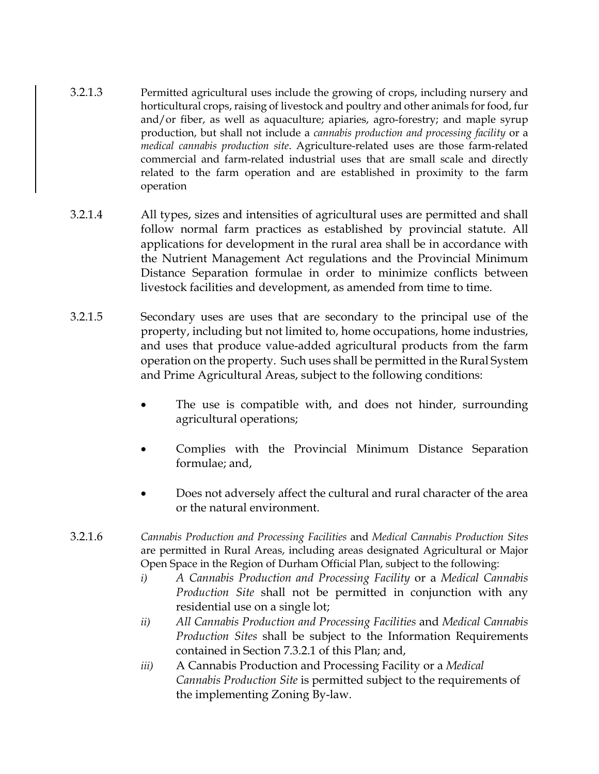- 3.2.1.3 Permitted agricultural uses include the growing of crops, including nursery and horticultural crops, raising of livestock and poultry and other animals for food, fur and/or fiber, as well as aquaculture; apiaries, agro-forestry; and maple syrup production, but shall not include a *cannabis production and processing facility* or a *medical cannabis production site*. Agriculture-related uses are those farm-related commercial and farm-related industrial uses that are small scale and directly related to the farm operation and are established in proximity to the farm operation
- 3.2.1.4 All types, sizes and intensities of agricultural uses are permitted and shall follow normal farm practices as established by provincial statute. All applications for development in the rural area shall be in accordance with the Nutrient Management Act regulations and the Provincial Minimum Distance Separation formulae in order to minimize conflicts between livestock facilities and development, as amended from time to time.
- 3.2.1.5 Secondary uses are uses that are secondary to the principal use of the property, including but not limited to, home occupations, home industries, and uses that produce value-added agricultural products from the farm operation on the property. Such uses shall be permitted in the Rural System and Prime Agricultural Areas, subject to the following conditions:
	- The use is compatible with, and does not hinder, surrounding agricultural operations;
	- Complies with the Provincial Minimum Distance Separation formulae; and,
	- Does not adversely affect the cultural and rural character of the area or the natural environment.
- 3.2.1.6 *Cannabis Production and Processing Facilities* and *Medical Cannabis Production Sites* are permitted in Rural Areas, including areas designated Agricultural or Major Open Space in the Region of Durham Official Plan, subject to the following:
	- *i) A Cannabis Production and Processing Facility* or a *Medical Cannabis Production Site* shall not be permitted in conjunction with any residential use on a single lot;
	- *ii) All Cannabis Production and Processing Facilities* and *Medical Cannabis Production Sites* shall be subject to the Information Requirements contained in Section 7.3.2.1 of this Plan; and,
	- *iii)* A Cannabis Production and Processing Facility or a *Medical Cannabis Production Site* is permitted subject to the requirements of the implementing Zoning By-law.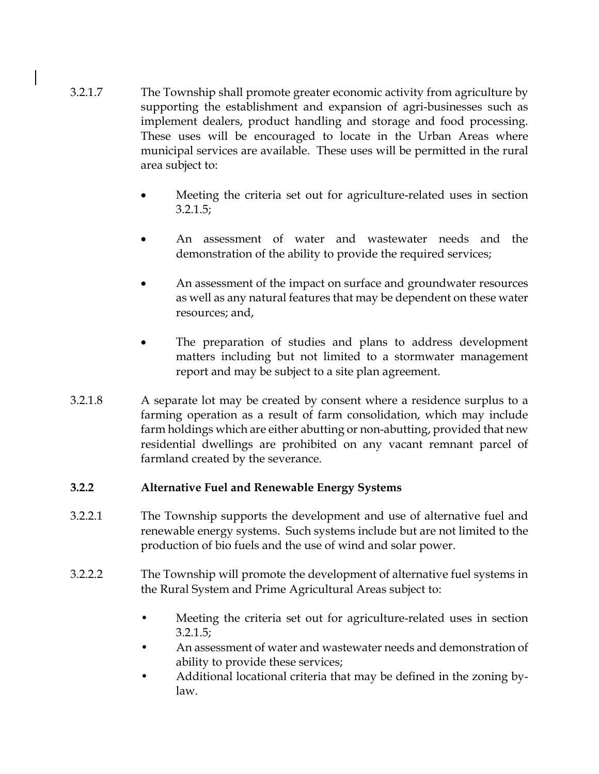- 3.2.1.7 The Township shall promote greater economic activity from agriculture by supporting the establishment and expansion of agri-businesses such as implement dealers, product handling and storage and food processing. These uses will be encouraged to locate in the Urban Areas where municipal services are available. These uses will be permitted in the rural area subject to:
	- Meeting the criteria set out for agriculture-related uses in section 3.2.1.5;
	- An assessment of water and wastewater needs and the demonstration of the ability to provide the required services;
	- An assessment of the impact on surface and groundwater resources as well as any natural features that may be dependent on these water resources; and,
	- The preparation of studies and plans to address development matters including but not limited to a stormwater management report and may be subject to a site plan agreement.
- 3.2.1.8 A separate lot may be created by consent where a residence surplus to a farming operation as a result of farm consolidation, which may include farm holdings which are either abutting or non-abutting, provided that new residential dwellings are prohibited on any vacant remnant parcel of farmland created by the severance.

#### **3.2.2 Alternative Fuel and Renewable Energy Systems**

- 3.2.2.1 The Township supports the development and use of alternative fuel and renewable energy systems. Such systems include but are not limited to the production of bio fuels and the use of wind and solar power.
- 3.2.2.2 The Township will promote the development of alternative fuel systems in the Rural System and Prime Agricultural Areas subject to:
	- Meeting the criteria set out for agriculture-related uses in section 3.2.1.5;
	- An assessment of water and wastewater needs and demonstration of ability to provide these services;
	- Additional locational criteria that may be defined in the zoning bylaw.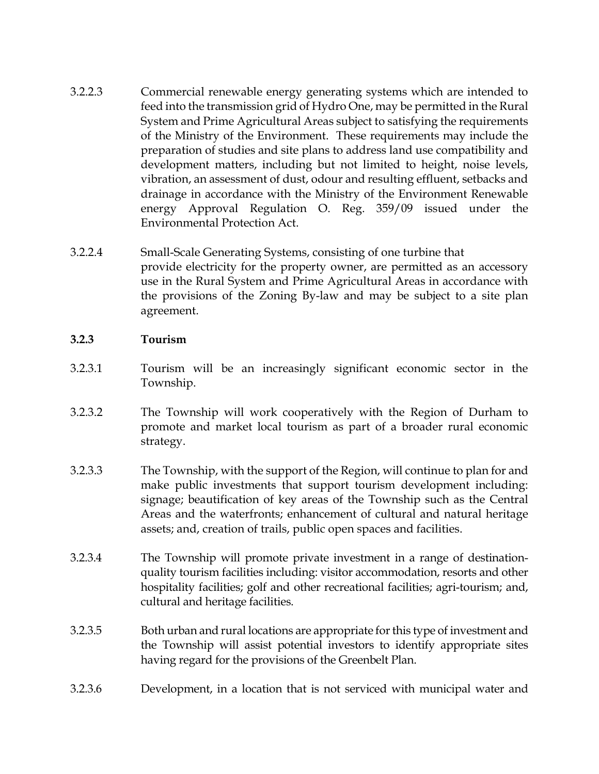- 3.2.2.3 Commercial renewable energy generating systems which are intended to feed into the transmission grid of Hydro One, may be permitted in the Rural System and Prime Agricultural Areas subject to satisfying the requirements of the Ministry of the Environment. These requirements may include the preparation of studies and site plans to address land use compatibility and development matters, including but not limited to height, noise levels, vibration, an assessment of dust, odour and resulting effluent, setbacks and drainage in accordance with the Ministry of the Environment Renewable energy Approval Regulation O. Reg. 359/09 issued under the Environmental Protection Act.
- 3.2.2.4 Small-Scale Generating Systems, consisting of one turbine that provide electricity for the property owner, are permitted as an accessory use in the Rural System and Prime Agricultural Areas in accordance with the provisions of the Zoning By-law and may be subject to a site plan agreement.
- **3.2.3 Tourism**
- 3.2.3.1 Tourism will be an increasingly significant economic sector in the Township.
- 3.2.3.2 The Township will work cooperatively with the Region of Durham to promote and market local tourism as part of a broader rural economic strategy.
- 3.2.3.3 The Township, with the support of the Region, will continue to plan for and make public investments that support tourism development including: signage; beautification of key areas of the Township such as the Central Areas and the waterfronts; enhancement of cultural and natural heritage assets; and, creation of trails, public open spaces and facilities.
- 3.2.3.4 The Township will promote private investment in a range of destinationquality tourism facilities including: visitor accommodation, resorts and other hospitality facilities; golf and other recreational facilities; agri-tourism; and, cultural and heritage facilities.
- 3.2.3.5 Both urban and rural locations are appropriate for this type of investment and the Township will assist potential investors to identify appropriate sites having regard for the provisions of the Greenbelt Plan.
- 3.2.3.6 Development, in a location that is not serviced with municipal water and